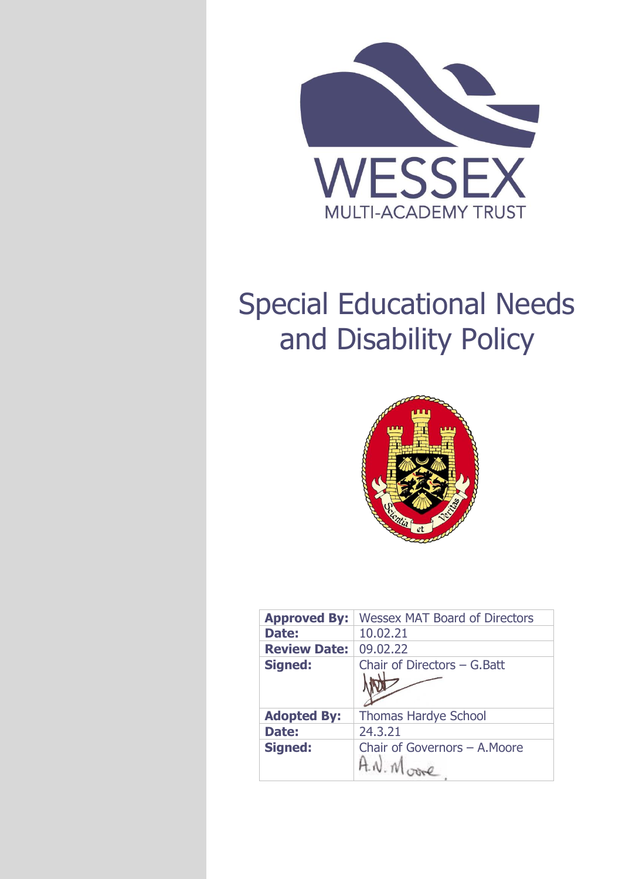

# Special Educational Needs and Disability Policy



| <b>Approved By:</b> | <b>Wessex MAT Board of Directors</b> |
|---------------------|--------------------------------------|
| Date:               | 10,02,21                             |
| <b>Review Date:</b> | 09.02.22                             |
| <b>Signed:</b>      | Chair of Directors $-$ G. Batt       |
| <b>Adopted By:</b>  | <b>Thomas Hardye School</b>          |
| Date:               | 24.3.21                              |
| <b>Signed:</b>      | Chair of Governors - A. Moore        |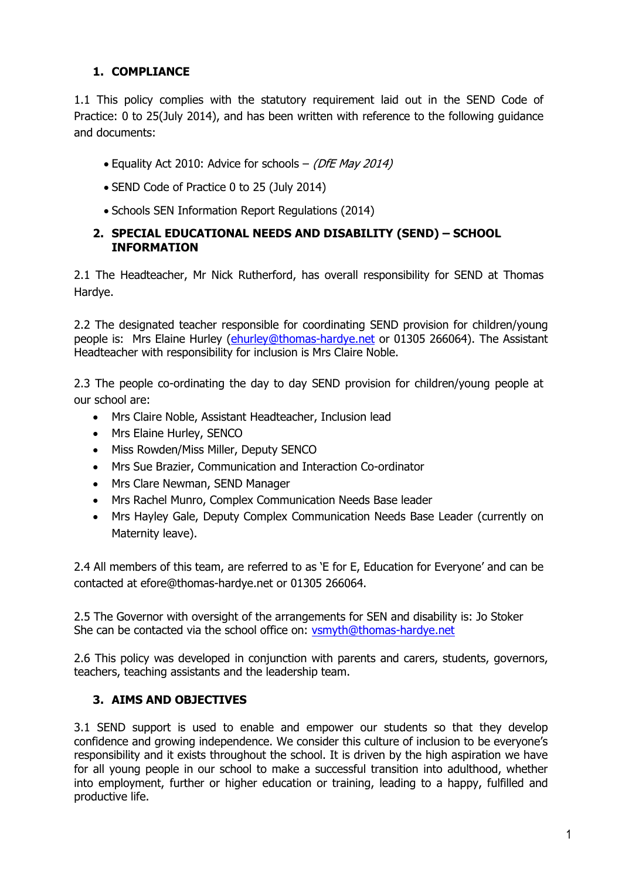## **1. COMPLIANCE**

1.1 This policy complies with the statutory requirement laid out in the SEND Code of Practice: 0 to 25(July 2014), and has been written with reference to the following guidance and documents:

- Equality Act 2010: Advice for schools (DfE May 2014)
- SEND Code of Practice 0 to 25 (July 2014)
- Schools SEN Information Report Regulations (2014)

#### **2. SPECIAL EDUCATIONAL NEEDS AND DISABILITY (SEND) – SCHOOL INFORMATION**

2.1 The Headteacher, Mr Nick Rutherford, has overall responsibility for SEND at Thomas Hardye.

2.2 The designated teacher responsible for coordinating SEND provision for children/young people is: Mrs Elaine Hurley [\(ehurley@thomas-hardye.net](mailto:ehurley@thomas-hardye.net) or 01305 266064). The Assistant Headteacher with responsibility for inclusion is Mrs Claire Noble.

2.3 The people co-ordinating the day to day SEND provision for children/young people at our school are:

- Mrs Claire Noble, Assistant Headteacher, Inclusion lead
- Mrs Elaine Hurley, SENCO
- Miss Rowden/Miss Miller, Deputy SENCO
- Mrs Sue Brazier, Communication and Interaction Co-ordinator
- Mrs Clare Newman, SEND Manager
- Mrs Rachel Munro, Complex Communication Needs Base leader
- Mrs Hayley Gale, Deputy Complex Communication Needs Base Leader (currently on Maternity leave).

2.4 All members of this team, are referred to as 'E for E, Education for Everyone' and can be contacted at [efore@thomas-hardye.net](mailto:efore@thomas-hardye.net) or 01305 266064.

2.5 The Governor with oversight of the arrangements for SEN and disability is: Jo Stoker She can be contacted via the school office on: [vsmyth@thomas-hardye.net](mailto:vsmyth@thomas-hardye.net)

2.6 This policy was developed in conjunction with parents and carers, students, governors, teachers, teaching assistants and the leadership team.

#### **3. AIMS AND OBJECTIVES**

3.1 SEND support is used to enable and empower our students so that they develop confidence and growing independence. We consider this culture of inclusion to be everyone's responsibility and it exists throughout the school. It is driven by the high aspiration we have for all young people in our school to make a successful transition into adulthood, whether into employment, further or higher education or training, leading to a happy, fulfilled and productive life.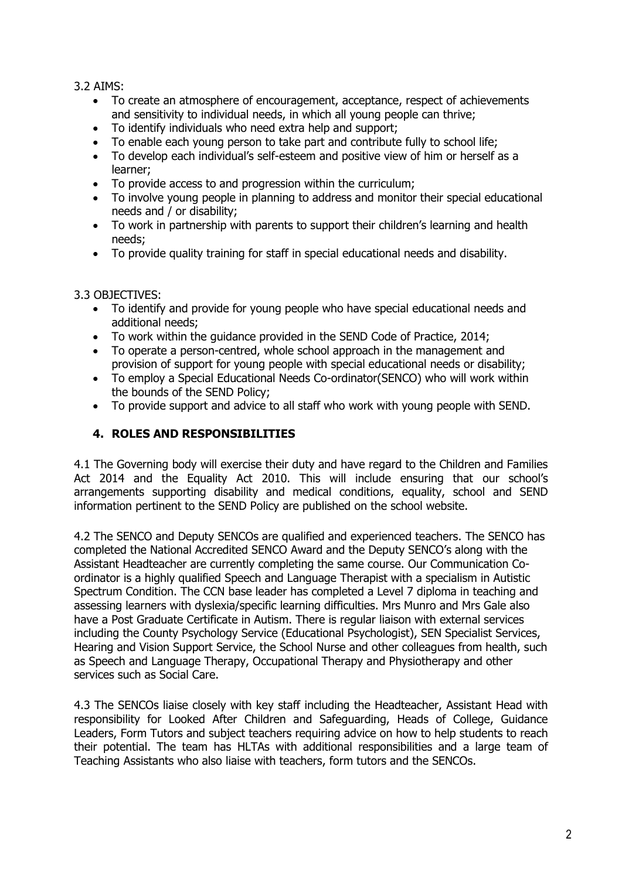3.2 AIMS:

- To create an atmosphere of encouragement, acceptance, respect of achievements and sensitivity to individual needs, in which all young people can thrive;
- To identify individuals who need extra help and support;
- To enable each young person to take part and contribute fully to school life;
- To develop each individual's self-esteem and positive view of him or herself as a learner;
- To provide access to and progression within the curriculum;
- To involve young people in planning to address and monitor their special educational needs and / or disability;
- To work in partnership with parents to support their children's learning and health needs;
- To provide quality training for staff in special educational needs and disability.

3.3 OBJECTIVES:

- To identify and provide for young people who have special educational needs and additional needs;
- To work within the guidance provided in the SEND Code of Practice, 2014;
- To operate a person-centred, whole school approach in the management and provision of support for young people with special educational needs or disability;
- To employ a Special Educational Needs Co-ordinator(SENCO) who will work within the bounds of the SEND Policy;
- To provide support and advice to all staff who work with young people with SEND.

## **4. ROLES AND RESPONSIBILITIES**

4.1 The Governing body will exercise their duty and have regard to the Children and Families Act 2014 and the Equality Act 2010. This will include ensuring that our school's arrangements supporting disability and medical conditions, equality, school and SEND information pertinent to the SEND Policy are published on the school website.

4.2 The SENCO and Deputy SENCOs are qualified and experienced teachers. The SENCO has completed the National Accredited SENCO Award and the Deputy SENCO's along with the Assistant Headteacher are currently completing the same course. Our Communication Coordinator is a highly qualified Speech and Language Therapist with a specialism in Autistic Spectrum Condition. The CCN base leader has completed a Level 7 diploma in teaching and assessing learners with dyslexia/specific learning difficulties. Mrs Munro and Mrs Gale also have a Post Graduate Certificate in Autism. There is regular liaison with external services including the County Psychology Service (Educational Psychologist), SEN Specialist Services, Hearing and Vision Support Service, the School Nurse and other colleagues from health, such as Speech and Language Therapy, Occupational Therapy and Physiotherapy and other services such as Social Care.

4.3 The SENCOs liaise closely with key staff including the Headteacher, Assistant Head with responsibility for Looked After Children and Safeguarding, Heads of College, Guidance Leaders, Form Tutors and subject teachers requiring advice on how to help students to reach their potential. The team has HLTAs with additional responsibilities and a large team of Teaching Assistants who also liaise with teachers, form tutors and the SENCOs.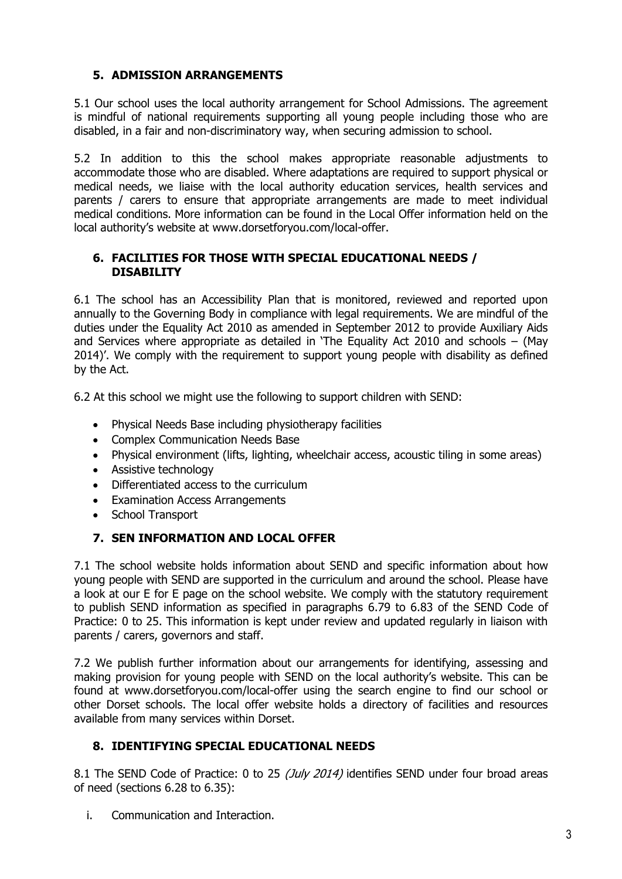## **5. ADMISSION ARRANGEMENTS**

5.1 Our school uses the local authority arrangement for School Admissions. The agreement is mindful of national requirements supporting all young people including those who are disabled, in a fair and non-discriminatory way, when securing admission to school.

5.2 In addition to this the school makes appropriate reasonable adjustments to accommodate those who are disabled. Where adaptations are required to support physical or medical needs, we liaise with the local authority education services, health services and parents / carers to ensure that appropriate arrangements are made to meet individual medical conditions. More information can be found in the Local Offer information held on the local authority's website at [www.dorsetforyou.com/local-offer.](http://www.dorsetforyou.com/local-offer)

#### **6. FACILITIES FOR THOSE WITH SPECIAL EDUCATIONAL NEEDS / DISABILITY**

6.1 The school has an Accessibility Plan that is monitored, reviewed and reported upon annually to the Governing Body in compliance with legal requirements. We are mindful of the duties under the Equality Act 2010 as amended in September 2012 to provide Auxiliary Aids and Services where appropriate as detailed in 'The Equality Act 2010 and schools – (May 2014)'. We comply with the requirement to support young people with disability as defined by the Act.

6.2 At this school we might use the following to support children with SEND:

- Physical Needs Base including physiotherapy facilities
- Complex Communication Needs Base
- Physical environment (lifts, lighting, wheelchair access, acoustic tiling in some areas)
- Assistive technology
- Differentiated access to the curriculum
- Examination Access Arrangements
- School Transport

## **7. SEN INFORMATION AND LOCAL OFFER**

7.1 The school website holds information about SEND and specific information about how young people with SEND are supported in the curriculum and around the school. Please have a look at our E for E page on the school website. We comply with the statutory requirement to publish SEND information as specified in paragraphs 6.79 to 6.83 of the SEND Code of Practice: 0 to 25. This information is kept under review and updated regularly in liaison with parents / carers, governors and staff.

7.2 We publish further information about our arrangements for identifying, assessing and making provision for young people with SEND on the local authority's website. This can be found at [www.dorsetforyou.com/local-offer](http://www.dorsetforyou.com/local-offer) using the search engine to find our school or other Dorset schools. The local offer website holds a directory of facilities and resources available from many services within Dorset.

## **8. IDENTIFYING SPECIAL EDUCATIONAL NEEDS**

8.1 The SEND Code of Practice: 0 to 25 (July 2014) identifies SEND under four broad areas of need (sections 6.28 to 6.35):

i. Communication and Interaction.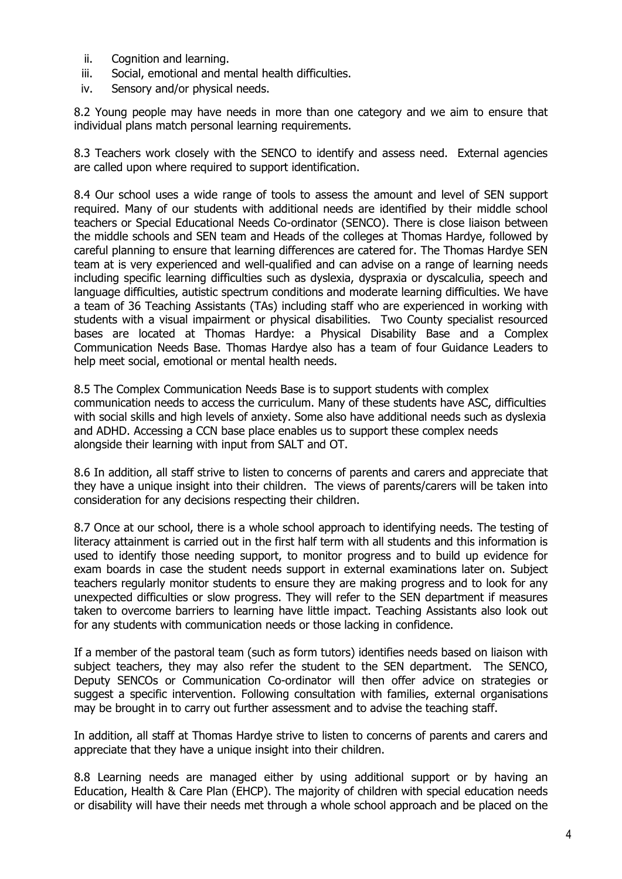- ii. Cognition and learning.
- iii. Social, emotional and mental health difficulties.
- iv. Sensory and/or physical needs.

8.2 Young people may have needs in more than one category and we aim to ensure that individual plans match personal learning requirements.

8.3 Teachers work closely with the SENCO to identify and assess need. External agencies are called upon where required to support identification.

8.4 Our school uses a wide range of tools to assess the amount and level of SEN support required. Many of our students with additional needs are identified by their middle school teachers or Special Educational Needs Co-ordinator (SENCO). There is close liaison between the middle schools and SEN team and Heads of the colleges at Thomas Hardye, followed by careful planning to ensure that learning differences are catered for. The Thomas Hardye SEN team at is very experienced and well-qualified and can advise on a range of learning needs including specific learning difficulties such as dyslexia, dyspraxia or dyscalculia, speech and language difficulties, autistic spectrum conditions and moderate learning difficulties. We have a team of 36 Teaching Assistants (TAs) including staff who are experienced in working with students with a visual impairment or physical disabilities. Two County specialist resourced bases are located at Thomas Hardye: a Physical Disability Base and a Complex Communication Needs Base. Thomas Hardye also has a team of four Guidance Leaders to help meet social, emotional or mental health needs.

8.5 The Complex Communication Needs Base is to support students with complex communication needs to access the curriculum. Many of these students have ASC, difficulties with social skills and high levels of anxiety. Some also have additional needs such as dyslexia and ADHD. Accessing a CCN base place enables us to support these complex needs alongside their learning with input from SALT and OT.

8.6 In addition, all staff strive to listen to concerns of parents and carers and appreciate that they have a unique insight into their children. The views of parents/carers will be taken into consideration for any decisions respecting their children.

8.7 Once at our school, there is a whole school approach to identifying needs. The testing of literacy attainment is carried out in the first half term with all students and this information is used to identify those needing support, to monitor progress and to build up evidence for exam boards in case the student needs support in external examinations later on. Subject teachers regularly monitor students to ensure they are making progress and to look for any unexpected difficulties or slow progress. They will refer to the SEN department if measures taken to overcome barriers to learning have little impact. Teaching Assistants also look out for any students with communication needs or those lacking in confidence.

If a member of the pastoral team (such as form tutors) identifies needs based on liaison with subject teachers, they may also refer the student to the SEN department. The SENCO, Deputy SENCOs or Communication Co-ordinator will then offer advice on strategies or suggest a specific intervention. Following consultation with families, external organisations may be brought in to carry out further assessment and to advise the teaching staff.

In addition, all staff at Thomas Hardye strive to listen to concerns of parents and carers and appreciate that they have a unique insight into their children.

8.8 Learning needs are managed either by using additional support or by having an Education, Health & Care Plan (EHCP). The majority of children with special education needs or disability will have their needs met through a whole school approach and be placed on the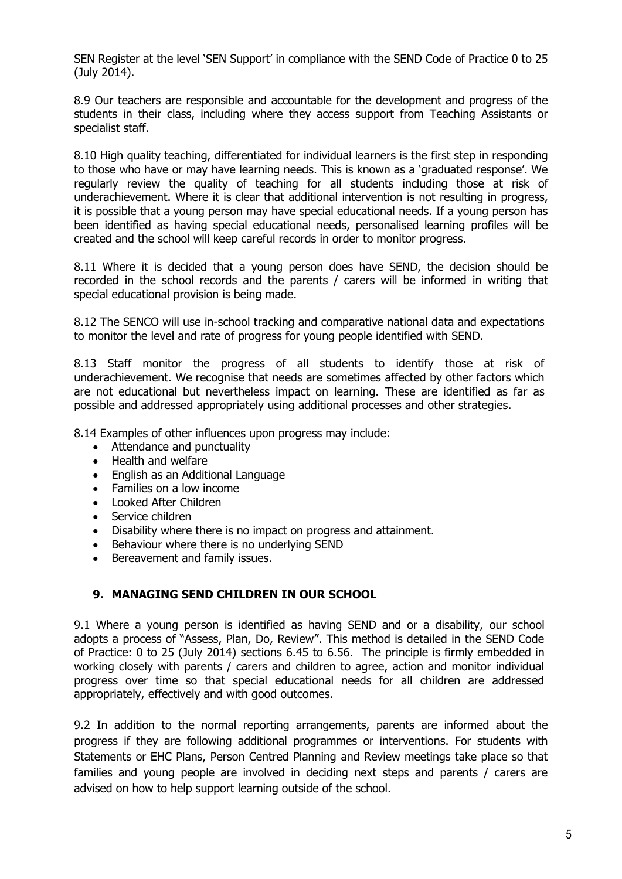SEN Register at the level 'SEN Support' in compliance with the SEND Code of Practice 0 to 25 (July 2014).

8.9 Our teachers are responsible and accountable for the development and progress of the students in their class, including where they access support from Teaching Assistants or specialist staff.

8.10 High quality teaching, differentiated for individual learners is the first step in responding to those who have or may have learning needs. This is known as a 'graduated response'. We regularly review the quality of teaching for all students including those at risk of underachievement. Where it is clear that additional intervention is not resulting in progress, it is possible that a young person may have special educational needs. If a young person has been identified as having special educational needs, personalised learning profiles will be created and the school will keep careful records in order to monitor progress.

8.11 Where it is decided that a young person does have SEND, the decision should be recorded in the school records and the parents / carers will be informed in writing that special educational provision is being made.

8.12 The SENCO will use in-school tracking and comparative national data and expectations to monitor the level and rate of progress for young people identified with SEND.

8.13 Staff monitor the progress of all students to identify those at risk of underachievement. We recognise that needs are sometimes affected by other factors which are not educational but nevertheless impact on learning. These are identified as far as possible and addressed appropriately using additional processes and other strategies.

8.14 Examples of other influences upon progress may include:

- Attendance and punctuality
- Health and welfare
- English as an Additional Language
- Families on a low income
- Looked After Children
- Service children
- Disability where there is no impact on progress and attainment.
- Behaviour where there is no underlying SEND
- Bereavement and family issues.

#### **9. MANAGING SEND CHILDREN IN OUR SCHOOL**

9.1 Where a young person is identified as having SEND and or a disability, our school adopts a process of "Assess, Plan, Do, Review". This method is detailed in the SEND Code of Practice: 0 to 25 (July 2014) sections 6.45 to 6.56. The principle is firmly embedded in working closely with parents / carers and children to agree, action and monitor individual progress over time so that special educational needs for all children are addressed appropriately, effectively and with good outcomes.

9.2 In addition to the normal reporting arrangements, parents are informed about the progress if they are following additional programmes or interventions. For students with Statements or EHC Plans, Person Centred Planning and Review meetings take place so that families and young people are involved in deciding next steps and parents / carers are advised on how to help support learning outside of the school.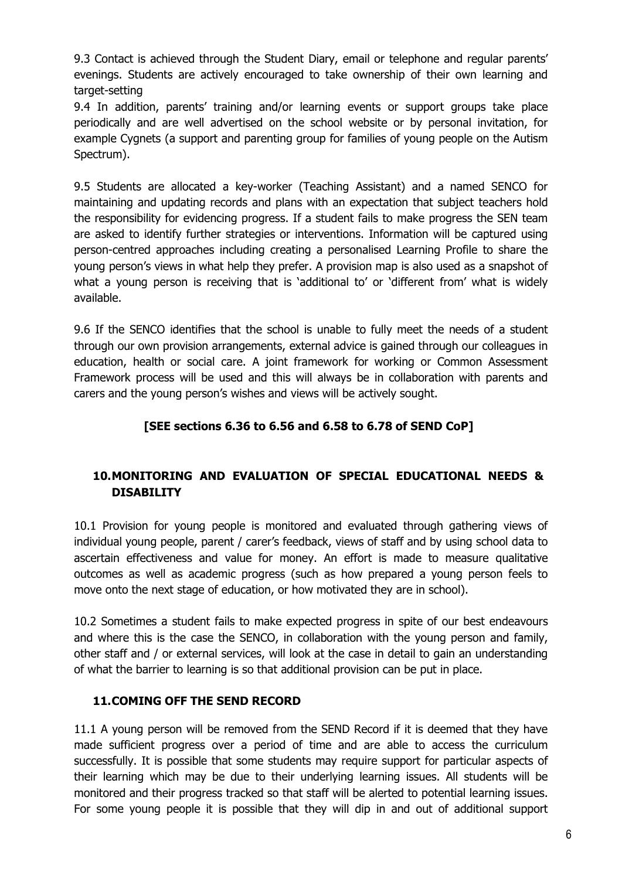9.3 Contact is achieved through the Student Diary, email or telephone and regular parents' evenings. Students are actively encouraged to take ownership of their own learning and target-setting

9.4 In addition, parents' training and/or learning events or support groups take place periodically and are well advertised on the school website or by personal invitation, for example Cygnets (a support and parenting group for families of young people on the Autism Spectrum).

9.5 Students are allocated a key-worker (Teaching Assistant) and a named SENCO for maintaining and updating records and plans with an expectation that subject teachers hold the responsibility for evidencing progress. If a student fails to make progress the SEN team are asked to identify further strategies or interventions. Information will be captured using person-centred approaches including creating a personalised Learning Profile to share the young person's views in what help they prefer. A provision map is also used as a snapshot of what a young person is receiving that is 'additional to' or 'different from' what is widely available.

9.6 If the SENCO identifies that the school is unable to fully meet the needs of a student through our own provision arrangements, external advice is gained through our colleagues in education, health or social care. A joint framework for working or Common Assessment Framework process will be used and this will always be in collaboration with parents and carers and the young person's wishes and views will be actively sought.

### **[SEE sections 6.36 to 6.56 and 6.58 to 6.78 of SEND CoP]**

## **10.MONITORING AND EVALUATION OF SPECIAL EDUCATIONAL NEEDS & DISABILITY**

10.1 Provision for young people is monitored and evaluated through gathering views of individual young people, parent / carer's feedback, views of staff and by using school data to ascertain effectiveness and value for money. An effort is made to measure qualitative outcomes as well as academic progress (such as how prepared a young person feels to move onto the next stage of education, or how motivated they are in school).

10.2 Sometimes a student fails to make expected progress in spite of our best endeavours and where this is the case the SENCO, in collaboration with the young person and family, other staff and / or external services, will look at the case in detail to gain an understanding of what the barrier to learning is so that additional provision can be put in place.

#### **11.COMING OFF THE SEND RECORD**

11.1 A young person will be removed from the SEND Record if it is deemed that they have made sufficient progress over a period of time and are able to access the curriculum successfully. It is possible that some students may require support for particular aspects of their learning which may be due to their underlying learning issues. All students will be monitored and their progress tracked so that staff will be alerted to potential learning issues. For some young people it is possible that they will dip in and out of additional support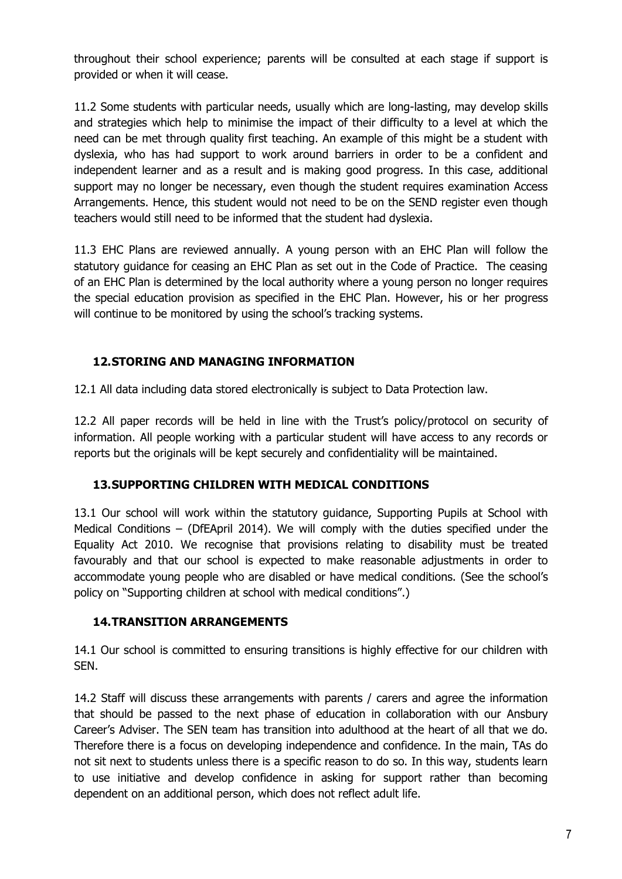throughout their school experience; parents will be consulted at each stage if support is provided or when it will cease.

11.2 Some students with particular needs, usually which are long-lasting, may develop skills and strategies which help to minimise the impact of their difficulty to a level at which the need can be met through quality first teaching. An example of this might be a student with dyslexia, who has had support to work around barriers in order to be a confident and independent learner and as a result and is making good progress. In this case, additional support may no longer be necessary, even though the student requires examination Access Arrangements. Hence, this student would not need to be on the SEND register even though teachers would still need to be informed that the student had dyslexia.

11.3 EHC Plans are reviewed annually. A young person with an EHC Plan will follow the statutory guidance for ceasing an EHC Plan as set out in the Code of Practice. The ceasing of an EHC Plan is determined by the local authority where a young person no longer requires the special education provision as specified in the EHC Plan. However, his or her progress will continue to be monitored by using the school's tracking systems.

## **12.STORING AND MANAGING INFORMATION**

12.1 All data including data stored electronically is subject to Data Protection law.

12.2 All paper records will be held in line with the Trust's policy/protocol on security of information. All people working with a particular student will have access to any records or reports but the originals will be kept securely and confidentiality will be maintained.

## **13.SUPPORTING CHILDREN WITH MEDICAL CONDITIONS**

13.1 Our school will work within the statutory guidance, Supporting Pupils at School with Medical Conditions – (DfEApril 2014). We will comply with the duties specified under the Equality Act 2010. We recognise that provisions relating to disability must be treated favourably and that our school is expected to make reasonable adjustments in order to accommodate young people who are disabled or have medical conditions. (See the school's policy on "Supporting children at school with medical conditions".)

## **14.TRANSITION ARRANGEMENTS**

14.1 Our school is committed to ensuring transitions is highly effective for our children with SEN.

14.2 Staff will discuss these arrangements with parents / carers and agree the information that should be passed to the next phase of education in collaboration with our Ansbury Career's Adviser. The SEN team has transition into adulthood at the heart of all that we do. Therefore there is a focus on developing independence and confidence. In the main, TAs do not sit next to students unless there is a specific reason to do so. In this way, students learn to use initiative and develop confidence in asking for support rather than becoming dependent on an additional person, which does not reflect adult life.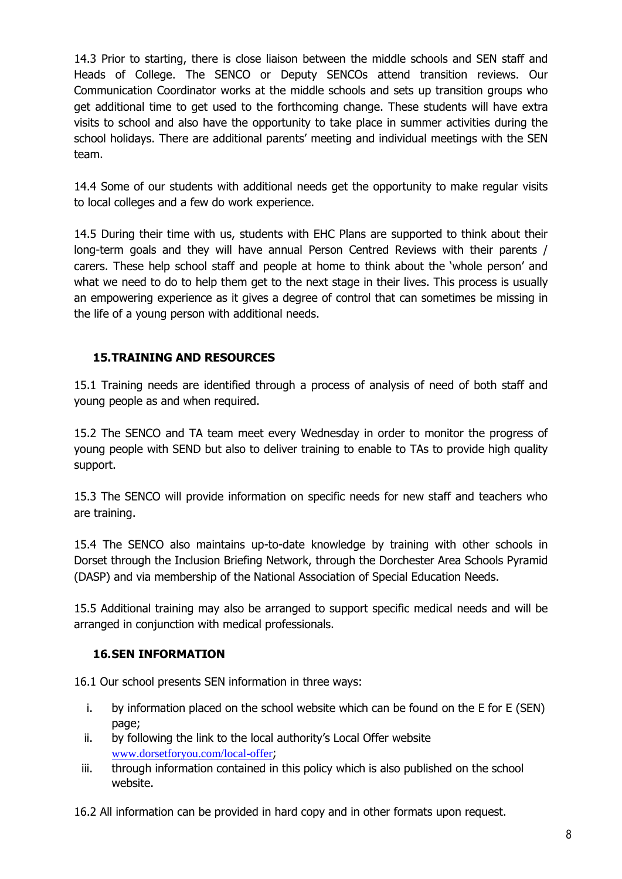14.3 Prior to starting, there is close liaison between the middle schools and SEN staff and Heads of College. The SENCO or Deputy SENCOs attend transition reviews. Our Communication Coordinator works at the middle schools and sets up transition groups who get additional time to get used to the forthcoming change. These students will have extra visits to school and also have the opportunity to take place in summer activities during the school holidays. There are additional parents' meeting and individual meetings with the SEN team.

14.4 Some of our students with additional needs get the opportunity to make regular visits to local colleges and a few do work experience.

14.5 During their time with us, students with EHC Plans are supported to think about their long-term goals and they will have annual Person Centred Reviews with their parents / carers. These help school staff and people at home to think about the 'whole person' and what we need to do to help them get to the next stage in their lives. This process is usually an empowering experience as it gives a degree of control that can sometimes be missing in the life of a young person with additional needs.

## **15.TRAINING AND RESOURCES**

15.1 Training needs are identified through a process of analysis of need of both staff and young people as and when required.

15.2 The SENCO and TA team meet every Wednesday in order to monitor the progress of young people with SEND but also to deliver training to enable to TAs to provide high quality support.

15.3 The SENCO will provide information on specific needs for new staff and teachers who are training.

15.4 The SENCO also maintains up-to-date knowledge by training with other schools in Dorset through the Inclusion Briefing Network, through the Dorchester Area Schools Pyramid (DASP) and via membership of the National Association of Special Education Needs.

15.5 Additional training may also be arranged to support specific medical needs and will be arranged in conjunction with medical professionals.

## **16.SEN INFORMATION**

16.1 Our school presents SEN information in three ways:

- i. by information placed on the school website which can be found on the E for E (SEN) page;
- ii. by following the link to the local authority's Local Offer website [www.dorsetforyou.com/local-offer](http://www.dorsetforyou.com/local-offer);
- iii. through information contained in this policy which is also published on the school website.

16.2 All information can be provided in hard copy and in other formats upon request.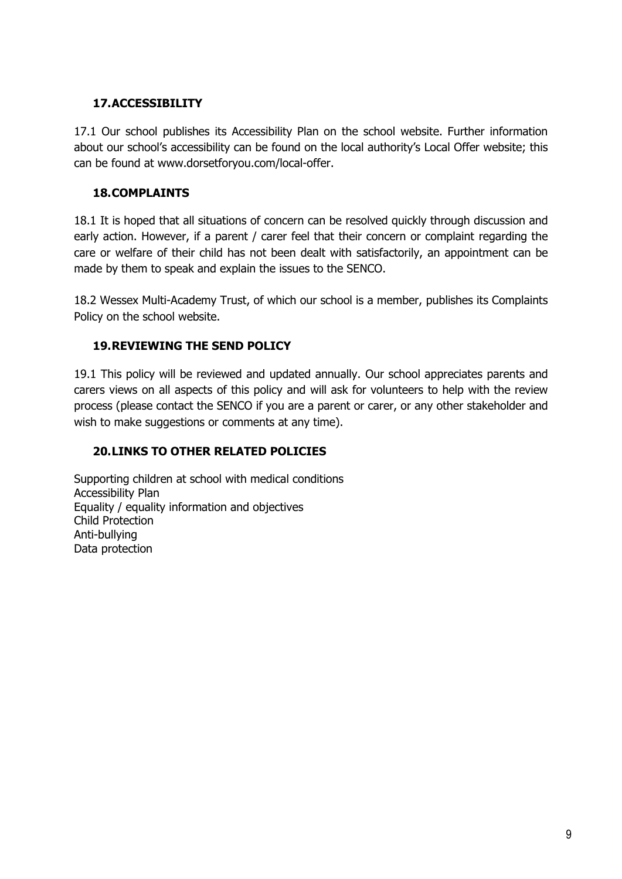### **17.ACCESSIBILITY**

17.1 Our school publishes its Accessibility Plan on the school website. Further information about our school's accessibility can be found on the local authority's Local Offer website; this can be found at [www.dorsetforyou.com/local-offer.](http://www.dorsetforyou.com/local-offer)

#### **18.COMPLAINTS**

18.1 It is hoped that all situations of concern can be resolved quickly through discussion and early action. However, if a parent / carer feel that their concern or complaint regarding the care or welfare of their child has not been dealt with satisfactorily, an appointment can be made by them to speak and explain the issues to the SENCO.

18.2 Wessex Multi-Academy Trust, of which our school is a member, publishes its Complaints Policy on the school website.

### **19.REVIEWING THE SEND POLICY**

19.1 This policy will be reviewed and updated annually. Our school appreciates parents and carers views on all aspects of this policy and will ask for volunteers to help with the review process (please contact the SENCO if you are a parent or carer, or any other stakeholder and wish to make suggestions or comments at any time).

## **20.LINKS TO OTHER RELATED POLICIES**

Supporting children at school with medical conditions Accessibility Plan Equality / equality information and objectives Child Protection Anti-bullying Data protection